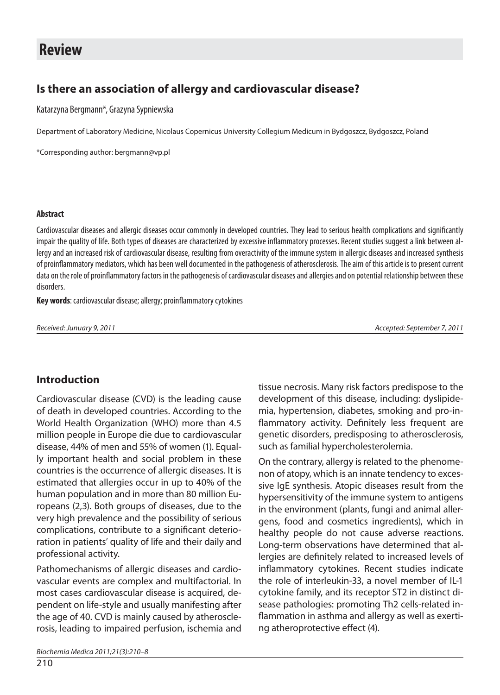# **Special issue: Responsible writing in science Review**

# **Is there an association of allergy and cardiovascular disease?**

Katarzyna Bergmann\*, Grazyna Sypniewska

Department of Laboratory Medicine, Nicolaus Copernicus University Collegium Medicum in Bydgoszcz, Bydgoszcz, Poland

\*Corresponding author: bergmann@vp.pl

#### **Abstract**

Cardiovascular diseases and allergic diseases occur commonly in developed countries. They lead to serious health complications and significantly impair the quality of life. Both types of diseases are characterized by excessive inflammatory processes. Recent studies suggest a link between allergy and an increased risk of cardiovascular disease, resulting from overactivity of the immune system in allergic diseases and increased synthesis of proinflammatory mediators, which has been well documented in the pathogenesis of atherosclerosis. The aim of this article is to present current data on the role of proinflammatory factors in the pathogenesis of cardiovascular diseases and allergies and on potential relationship between these disorders.

Key words: cardiovascular disease; allergy; proinflammatory cytokines

Received: Junuary 9, 2011 **Accepted: September 7, 2011** Accepted: September 7, 2011

# **In tro duc tion**

Cardiovascular disease (CVD) is the leading cause of death in developed countries. According to the World Health Organization (WHO) more than 4.5 million people in Europe die due to cardiovas cular disease, 44% of men and 55% of women (1). Equally important health and social problem in these countries is the occurrence of allergic diseases. It is estimated that allergies occur in up to 40% of the human population and in more than 80 million Europeans (2,3). Both groups of diseases, due to the very high prevalence and the possibility of serious complications, contribute to a significant deterioration in patients' quality of life and their daily and professional activity.

Pathomechanisms of allergic diseases and cardiovascular events are complex and multifactorial. In most cases cardiovascular disease is acquired, dependent on life-style and usually manifesting after the age of 40. CVD is mainly caused by atherosclerosis, leading to impaired perfusion, ischemia and

Biochemia Medica 2011;21(3):210–8

tissue necrosis. Many risk factors predispose to the development of this disease, including: dyslipidemia, hypertension, diabetes, smoking and pro-inflammatory activity. Definitely less frequent are genetic disorders, predisposing to atherosclerosis, such as familial hypercholesterolemia.

On the contrary, allergy is related to the phenomenon of atopy, which is an innate tendency to excessive IgE synthesis. Atopic diseases result from the hypersensitivity of the immune system to antigens in the environment (plants, fungi and animal allergens, food and cosmetics ingredients), which in healthy people do not cause adverse reactions. Long-term observations have determined that allergies are definitely related to increased levels of inflammatory cytokines. Recent studies indicate the role of interleukin-33, a novel member of IL-1 cytokine family, and its receptor ST2 in distinct disease pathologies: promoting Th2 cells-related inflammation in asthma and allergy as well as exerting atheroprotective effect (4).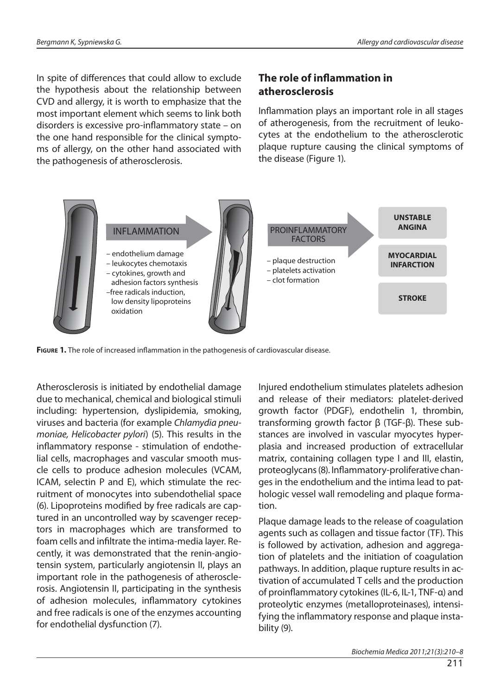In spite of differences that could allow to exclude the hypothesis about the relationship between CVD and allergy, it is worth to emphasize that the most important element which seems to link both disorders is excessive pro-inflam matory state – on the one hand responsible for the clinical symptoms of allergy, on the other hand associated with the pathogenesis of atherosclerosis.

## **The role of inflammation in at he ros cle ro sis**

Inflammation plays an important role in all stages of atherogenesis, from the recruit ment of leukocytes at the endothelium to the atherosclerotic plaque rupture causing the clinical symptoms of the disease (Figure 1).



**FIGURE 1.** The role of increased inflammation in the pathogenesis of cardiovascular disease.

Atherosclerosis is initiated by endothelial damage due to mechanical, chemical and biological stimuli in cluding: hypertension, dyslipidemia, smoking, viruses and bacteria (for example Chlamydia pneumoniae, Helicobacter pylori) (5). This results in the inflammatory response - stimulation of endothelial cells, macrophages and vascular smooth muscle cells to produce adhesion molecules (VCAM, ICAM, selectin P and E), which stimulate the recruitment of monocytes into subendothelial space (6). Lipoproteins modified by free radicals are captured in an uncontrolled way by scavenger receptors in macrophages which are transformed to foam cells and infiltrate the intima-media layer. Recently, it was demonstrated that the renin-angiotensin system, particularly angiotensin II, plays an important role in the pathogenesis of atherosclerosis. Angiotensin II, participating in the synthesis of adhesion molecules, inflammatory cytokines and free radicals is one of the enzymes accounting for endothelial dysfunction (7).

Injured endothelium stimulates platelets adhesion and release of their mediators: platelet-derived growth factor (PDGF), endothelin 1, thrombin, transforming growth factor  $β$  (TGF- $β$ ). These substances are involved in vascular myocytes hyperplasia and increased production of extracellular matrix, containing collagen type I and III, elastin, proteoglycans (8). Inflammatory-proliferative changes in the endothelium and the intima lead to pathologic vessel wall remodeling and plaque formation.

Plaque da mage leads to the release of coagulation agents such as collagen and tissue factor (TF). This is followed by activation, adhesion and aggregation of platelets and the initiation of coagulation pathways. In addition, plaque rupture results in activation of accumulated T cells and the production of proinflammatory cytokines (IL-6, IL-1, TNF-α) and proteolytic enzymes (metalloproteinases), intensifying the inflammatory response and plaque instability (9).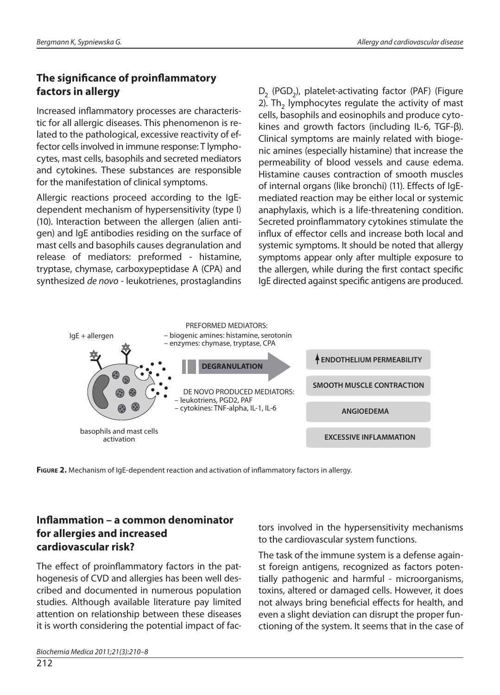# **The significance of proinflammatory factors in allergy**

Increased inflammatory processes are characteristic for all allergic diseases. This phenomenon is related to the pathological, excessive reactivity of effector cells involved in immune response: T lymphocytes, mast cells, basophils and secreted mediators and cytokines. These substances are responsible for the manifestation of clinical symptoms.

Allergic reactions proceed according to the IgEdependent mechanism of hypersensitivity (type I) (10). Interaction between the allergen (alien antigen) and IgE antibodies residing on the surface of mast cells and basophils causes degranulation and release of mediators: preformed - histamine, tryptase, chymase, carboxypeptidase A (CPA) and synthe sized de novo - leu kotrienes, prostaglandins  $D_2$  (PGD<sub>2</sub>), platelet-activating factor (PAF) (Figure 2). Th<sub>2</sub> lymphocytes regulate the activity of mast cells, basophils and eosinophils and produce cytokines and growth factors (including IL-6, TGF-β). Clinical symptoms are mainly related with biogenic amines (especially histamine) that increase the permeability of blood vessels and cause edema. Histamine causes contraction of smooth muscles of internal organs (like bronchi) (11). Effects of IgEmediated reaction may be either local or systemic anaphylaxis, which is a life-threatening condition. Secreted proinflammatory cytokines stimulate the influx of effector cells and increase both local and systemic symptoms. It should be noted that allergy symptoms appear only after multiple exposure to the allergen, while during the first contact specific IgE directed against specific antigens are produced.



**FIGURE 2.** Mechanism of IgE-dependent reaction and activation of inflammatory factors in allergy.

### **Inflammation – a common denominator for al ler gies and in crea sed car dio vas cu lar ri sk?**

The effect of proinflammatory factors in the pathogenesis of CVD and allergies has been well described and documented in numerous population studies. Although available literature pay limited attention on relationship between these diseases it is worth considering the potential impact of factors involved in the hypersensitivity mechanisms to the cardiovas cular system functions.

The task of the immune system is a defense against foreign antigens, recognized as factors potentially pathogenic and harmful - microorganisms, toxins, altered or damaged cells. However, it does not always bring beneficial effects for health, and even a slight deviation can disrupt the proper functioning of the system. It seems that in the case of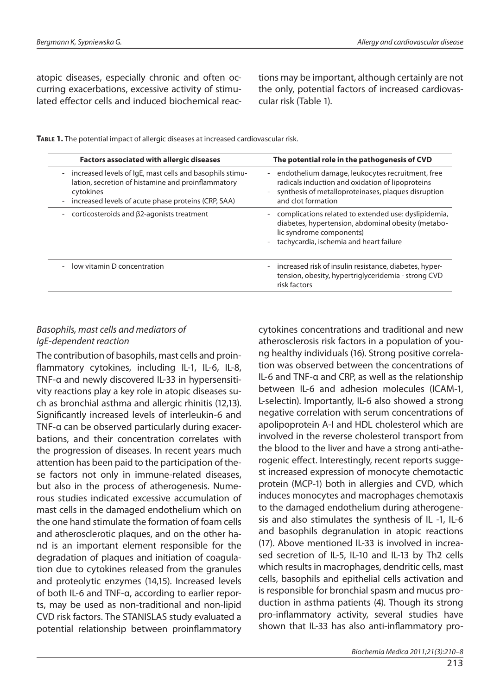atopic diseases, especially chronic and often occurring exacerbations, excessive activity of stimulated effector cells and induced biochemical reactions may be important, although certainly are not the only, potential factors of increased cardiovascular risk (Table 1).

| <b>Factors associated with allergic diseases</b>                                                                                                                                                                         | The potential role in the pathogenesis of CVD                                                                                                                                                                                             |
|--------------------------------------------------------------------------------------------------------------------------------------------------------------------------------------------------------------------------|-------------------------------------------------------------------------------------------------------------------------------------------------------------------------------------------------------------------------------------------|
| increased levels of IgE, mast cells and basophils stimu-<br>$\overline{\phantom{0}}$<br>lation, secretion of histamine and proinflammatory<br>cytokines<br>increased levels of acute phase proteins (CRP, SAA)<br>$\sim$ | - endothelium damage, leukocytes recruitment, free<br>radicals induction and oxidation of lipoproteins<br>synthesis of metalloproteinases, plaques disruption<br>$\overline{\phantom{a}}$<br>and clot formation                           |
| corticosteroids and $\beta$ 2-agonists treatment                                                                                                                                                                         | complications related to extended use: dyslipidemia,<br>$\overline{\phantom{a}}$<br>diabetes, hypertension, abdominal obesity (metabo-<br>lic syndrome components)<br>tachycardia, ischemia and heart failure<br>$\overline{\phantom{a}}$ |
| low vitamin D concentration                                                                                                                                                                                              | increased risk of insulin resistance, diabetes, hyper-<br>$\overline{\phantom{a}}$<br>tension, obesity, hypertriglyceridemia - strong CVD<br>risk factors                                                                                 |

**TABLE 1.** The potential impact of allergic diseases at increased cardiovascular risk.

#### Basophils, mast cells and mediators of IgE-dependent reaction

The contribution of basophils, mast cells and proinflammatory cytokines, including IL-1, IL-6, IL-8, TNF-α and newly discovered IL-33 in hypersensitivity reactions play a key role in atopic diseases such as bronchial asthma and allergic rhinitis (12,13). Significantly increased levels of interleukin-6 and TNF-α can be observed particularly during exacerbations, and their concentration correlates with the progression of diseases. In recent years much attention has been paid to the participation of these factors not only in immune-related diseases, but also in the process of atherogenesis. Numerous studies indicated excessive accumulation of mast cells in the damaged endothelium which on the one hand stimulate the formation of foam cells and atherosclerotic plaques, and on the other hand is an important element responsible for the degradation of plaques and initiation of coagulation due to cytokines released from the granules and proteolytic enzymes (14,15). Increased levels of both IL-6 and TNF-α, according to earlier reports, may be used as non-traditional and non-lipid CVD risk factors. The STANISLAS study evaluated a potential relationship between proinflammatory cytokines concentrations and traditional and new atherosclerosis risk factors in a population of young healthy individuals (16). Strong positive correlation was observed between the concentrations of IL-6 and TNF- $\alpha$  and CRP, as well as the relationship between IL-6 and adhesion molecules (ICAM-1, L-selectin). Importantly, IL-6 also showed a strong negative correlation with serum concentrations of apolipoprotein A-I and HDL cholesterol which are involved in the reverse cholesterol transport from the blood to the liver and have a strong anti-atherogenic effect. Interestingly, recent reports suggest increased expression of monocyte chemotactic protein (MCP-1) both in allergies and CVD, which induces monocytes and macrophages chemotaxis to the damaged endothelium during atherogenesis and also stimulates the synthesis of  $IL -1$ ,  $IL -6$ and basophils degranulation in atopic reactions (17). Above mentioned IL-33 is involved in increased secretion of IL-5, IL-10 and IL-13 by Th2 cells which results in macrophages, dendritic cells, mast cells, basophils and epithelial cells activation and is responsible for bronchial spasm and mucus production in asthma patients (4). Though its strong pro-inflammatory activity, several studies have shown that IL-33 has also anti-inflammatory pro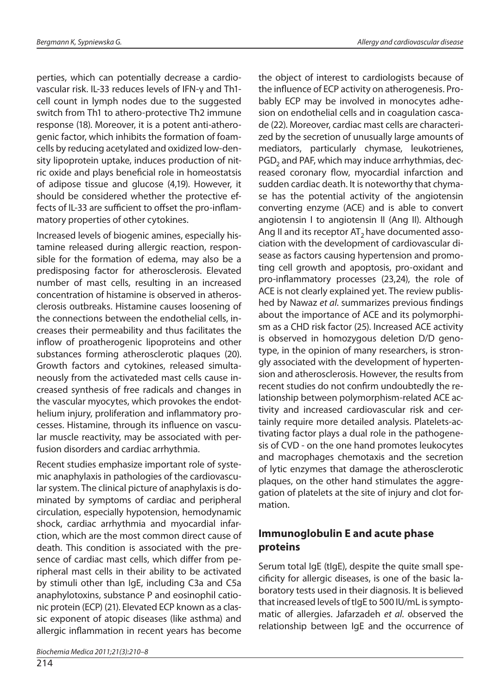perties, which can potentially decrease a cardiovascular risk. IL-33 reduces levels of IFN-γ and Th1cell count in lymph nodes due to the suggested switch from Th1 to athero-protective Th2 immune response (18). Moreover, it is a potent anti-atherogenic factor, which inhibits the formation of foamcells by reducing acetylated and oxidized low-density lipoprotein uptake, induces production of nitric oxide and plays beneficial role in homeostatsis of adipose tissue and glucose (4,19). However, it should be considered whether the protective effects of IL-33 are sufficient to offset the pro-inflammatory properties of other cytokines.

Increased levels of biogenic amines, especially histamine released during allergic reaction, responsible for the formation of edema, may also be a predisposing factor for atherosclerosis. Elevated number of mast cells, resulting in an increased concentration of histamine is observed in atherosclerosis outbreaks. Histamine causes loosening of the connections between the endothelial cells, increases their permeability and thus facilitates the inflow of proatherogenic lipoproteins and other substances forming atherosclerotic plaques (20). Growth factors and cytokines, released simultaneously from the activateded mast cells cause increased synthesis of free radicals and changes in the vascular myocytes, which provokes the endothelium injury, proliferation and inflammatory processes. Histamine, through its influence on vascular muscle reactivity, may be associated with perfusion disorders and cardiac arrhythmia.

Recent studies emphasize important role of systemic anaphylaxis in pathologies of the cardiovascular system. The clinical picture of anaphylaxis is dominated by symptoms of cardiac and peripheral circulation, especially hypotension, hemodynamic shock, cardiac arrhythmia and myocardial infarction, which are the most common direct cause of death. This condition is associated with the presence of cardiac mast cells, which differ from peripheral mast cells in their ability to be activated by stimuli other than IgE, including C3a and C5a anaphylotoxins, substance P and eosinophil cationic protein (ECP) (21). Elevated ECP known as a classic exponent of atopic diseases (like asthma) and allergic inflammation in recent years has become

214

the object of interest to cardiologists because of the influence of ECP activity on atherogenesis. Probably ECP may be involved in monocytes adhesion on endothelial cells and in coaquiation cascade (22). Moreover, cardiac mast cells are characterized by the secretion of unusually large amounts of mediators, particularly chymase, leukotrienes, PGD<sub>2</sub> and PAF, which may induce arrhythmias, decreased coronary flow, myocardial infarction and sudden cardiac death. It is noteworthy that chymase has the potential activity of the angiotensin converting enzyme (ACE) and is able to convert angiotensin I to angiotensin II (Ang II). Although Ang II and its receptor  $AT<sub>2</sub>$  have documented association with the development of cardiovascular disease as factors causing hypertension and promoting cell growth and apoptosis, pro-oxidant and pro-inflammatory processes (23,24), the role of ACE is not clearly explained yet. The review published by Nawaz et al. summarizes previous findings about the importance of ACE and its polymorphism as a CHD risk factor (25). Increased ACE activity is observed in homozygous deletion D/D genotype, in the opinion of many researchers, is strongly associated with the development of hypertension and atherosclerosis. However, the results from recent studies do not confirm undoubtedly the relationship between polymorphism-related ACE activity and increased cardiovascular risk and certainly require more detailed analysis. Platelets-activating factor plays a dual role in the pathogenesis of CVD - on the one hand promotes leukocytes and macrophages chemotaxis and the secretion of lytic enzymes that damage the atherosclerotic plaques, on the other hand stimulates the aggregation of platelets at the site of injury and clot formation.

## **Immunoglobulin E and acute phase pro tei ns**

Serum total IgE (tIgE), despite the quite small specificity for allergic diseases, is one of the basic laboratory tests used in their diagnosis. It is believed that increased levels of tIgE to 500 IU/mL is symptomatic of allergies. Jafarzadeh et al. observed the relationship between IgE and the occurrence of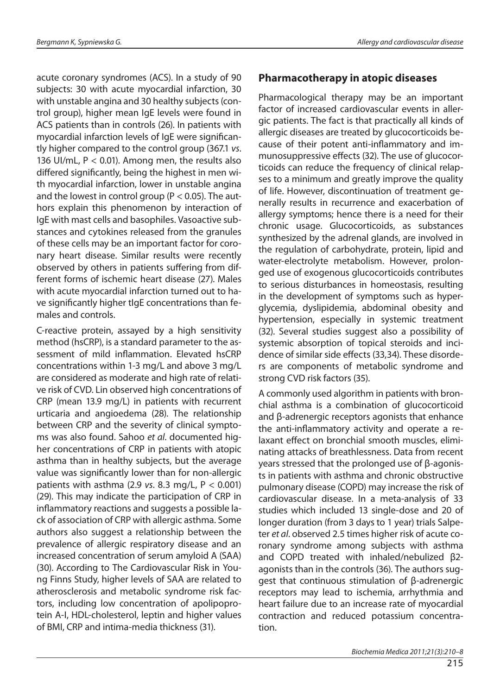acute coronary syndromes (ACS). In a study of 90 subjects: 30 with acute myocardial infarction, 30 with unstable angina and 30 healthy subjects (control group), higher mean IgE levels were found in ACS patients than in controls (26). In patients with myocardial infarction levels of IgE were significantly higher compared to the control group (367.1 vs. 136 UI/mL,  $P < 0.01$ ). Among men, the results also differed significantly, being the highest in men with myocardial infarction, lower in unstable angina and the lowest in control group ( $P < 0.05$ ). The authors explain this phenomenon by interaction of IgE with mast cells and basophiles. Vasoactive substances and cytokines released from the granules of these cells may be an important factor for coronary heart disease. Similar results were recently observed by others in patients suffering from different forms of ischemic heart disease (27). Males with acute myocardial infarction turned out to have significantly higher tigE concentrations than females and controls.

C-reactive protein, assayed by a high sensitivity method (hsCRP), is a standard parameter to the assessment of mild inflammation. Elevated hsCRP concentrations within 1-3 mg/L and above 3 mg/L are considered as moderate and high rate of relative risk of CVD. Lin observed high concentrations of  $CRP$  (mean 13.9 mg/L) in patients with recurrent urticaria and angioedema (28). The relationship between CRP and the severity of clinical symptoms was also found. Sahoo et al. documented higher concentrations of CRP in patients with atopic asthma than in healthy subjects, but the average value was significantly lower than for non-allergic patients with asthma (2.9 vs. 8.3 mg/L,  $P < 0.001$ ) (29). This may indicate the participation of CRP in in flam matory reactions and suggests a possible lack of association of CRP with allergic asthma. Some authors also suggest a relationship between the prevalence of allergic respiratory disease and an increased concentration of serum amyloid A (SAA) (30). According to The Cardiovascular Risk in Young Finns Study, higher levels of SAA are related to atherosclerosis and metabolic syndrome risk factors, including low concentration of apolipoprotein A-I, HDL-cholesterol, leptin and higher values of BMI, CRP and intima-media thickness (31).

# **Pharmacotherapy in atopic diseases**

Pharmacological therapy may be an important factor of increased cardiovascular events in allergic patients. The fact is that practically all kinds of allergic diseases are treated by glucocorticoids because of their potent anti-inflammatory and immuno suppressive effects (32). The use of glucocorticoids can reduce the frequency of clinical relapses to a minimum and greatly improve the quality of life. However, discontinuation of treatment generally results in recurrence and exacerbation of allergy symptoms; hence there is a need for their chronic usage. Glu co corticoids, as substances synthesized by the adrenal glands, are involved in the regulation of carbohydrate, protein, lipid and water-electrolyte metabolism. However, prolonged use of exogenous glucocorticoids contributes to serious disturbances in homeostasis, resulting in the development of symptoms such as hyperglycemia, dyslipidemia, abdominal obesity and hypertension, especially in systemic treatment (32). Several studies suggest also a possibility of systemic absorption of topical steroids and incidence of similar side effects (33,34). These disorders are components of metabolic syndrome and strong CVD risk factors (35).

A commonly used algorithm in patients with bronchial asthma is a combination of glucocorticoid and  $β$ -adrenergic receptors agonists that enhance the anti-inflammatory activity and operate a relaxant effect on bronchial smooth muscles, eliminating attacks of breathlessness. Data from recent years stressed that the prolonged use of β-agonists in patients with asthma and chronic obstructive pul monary disease (COPD) may increase the risk of cardiovascular disease. In a meta-analysis of 33 studies which included 13 single-dose and 20 of longer duration (from 3 days to 1 year) trials Salpeter et al. observed 2.5 times higher risk of acute coronary syndrome among subjects with asthma and COPD treated with inhaled/nebulized β2agonists than in the controls (36). The authors suggest that continuous stimulation of  $\beta$ -adrenergic receptors may lead to ischemia, arrhythmia and heart failure due to an increase rate of myocardial contraction and reduced potassium concentration.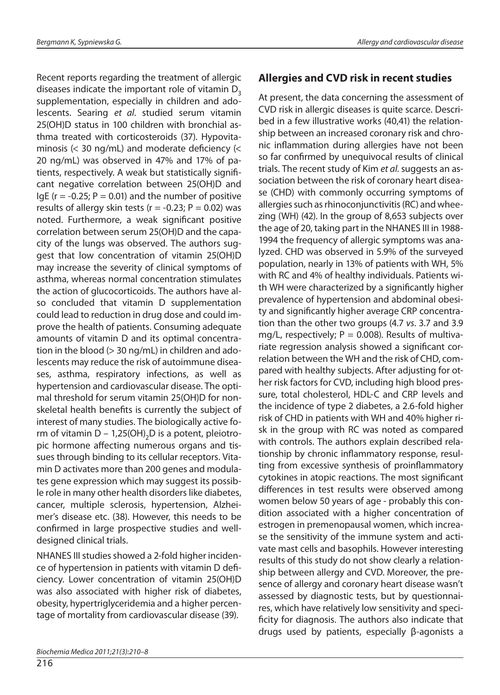Recent reports regarding the treatment of allergic diseases indicate the important role of vitamin  $D<sub>3</sub>$ supplementation, especially in children and adolescents. Searing et al. studied serum vitamin 25(OH)D status in 100 children with bronchial asthma treated with corticosteroids (37). Hypovitaminosis  $(<$  30 ng/mL) and moderate deficiency  $(<$ 20 ng/mL) was observed in 47% and 17% of patients, respectively. A weak but statistically significant negative correlation between 25(OH)D and IgE ( $r = -0.25$ ; P = 0.01) and the number of positive re sults of allergy skin tests ( $r = -0.23$ ; P = 0.02) was noted. Furthermore, a weak significant positive correlation between serum 25(OH)D and the capacity of the lungs was observed. The authors suggest that low concentration of vitamin 25(OH)D may increase the severity of clinical symptoms of as thma, whereas normal concentration stimulates the action of glucocorticoids. The authors have also concluded that vitamin D supplementation could lead to reduction in drug dose and could improve the health of patients. Consuming adequate amounts of vitamin D and its optimal concentration in the blood  $(> 30 \text{ ng/mL})$  in children and adolescents may reduce the risk of autoimmune diseases, asthma, respiratory infections, as well as hypertension and cardiovas cular disease. The optimal threshold for serum vitamin 25(OH)D for nonskeletal health benefits is currently the subject of interest of many studies. The biologically active form of vitamin  $D - 1,25(OH), D$  is a potent, pleiotropic hormone affecting numerous organs and tissues through binding to its cellular receptors. Vitamin D activates more than 200 genes and modulates gene expression which may suggest its possible role in many other health disorders like diabetes, cancer, multiple sclerosis, hypertension, Alzheimer's disease etc. (38). However, this needs to be confirmed in large prospective studies and welldesigned clinical trials.

NHANES III studies showed a 2-fold higher incidence of hypertension in patients with vitamin D deficiency. Lower concentration of vitamin 25(OH)D was also associated with higher risk of diabetes, obesity, hypertriglyceridemia and a higher percentage of mortality from cardiovas cular disease (39).

#### **Allergies and CVD risk in recent studies**

At present, the data concerning the assessment of CVD risk in allergic diseases is quite scarce. Described in a few illustrative works (40,41) the relationship between an increased coronary risk and chronic inflammation during allergies have not been so far confirmed by unequivocal results of clinical trials. The recent study of Kim et al. suggests an association between the risk of coronary heart disease (CHD) with commonly occurring symptoms of allergies such as rhino conjunctivitis (RC) and wheezing (WH) (42). In the group of 8,653 subjects over the age of 20, taking part in the NHANES III in 1988-1994 the frequency of allergic symptoms was analyzed. CHD was observed in 5.9% of the surveyed population, nearly in 13% of patients with WH, 5% with RC and 4% of healthy individuals. Patients with WH were characterized by a significantly higher prevalence of hypertension and abdominal obesity and significantly higher average CRP concentration than the other two groups  $(4.7 \text{ vs. } 3.7 \text{ and } 3.9)$ mg/L, respectively;  $P = 0.008$ ). Results of multivariate regression analysis showed a significant correlation between the WH and the risk of CHD, compared with healthy subjects. After adjusting for other risk factors for CVD, including high blood pressure, total cholesterol, HDL-C and CRP levels and the incidence of type 2 diabetes, a 2.6-fold higher risk of CHD in patients with WH and 40% higher risk in the group with RC was noted as compared with controls. The authors explain described relationship by chronic inflammatory response, resulting from excessive synthesis of proinflammatory cytokines in atopic reactions. The most significant differences in test results were observed among women below 50 years of age - probably this condition associated with a higher concentration of estrogen in premenopausal women, which increase the sensitivity of the immune system and activate mast cells and basophils. However interesting results of this study do not show clearly a relationship between allergy and CVD. Moreover, the presence of allergy and coronary heart disease wasn't assessed by diagnostic tests, but by questionnaires, which have relatively low sensitivity and specificity for diagnosis. The authors also indicate that drugs used by patients, especially β-agonists a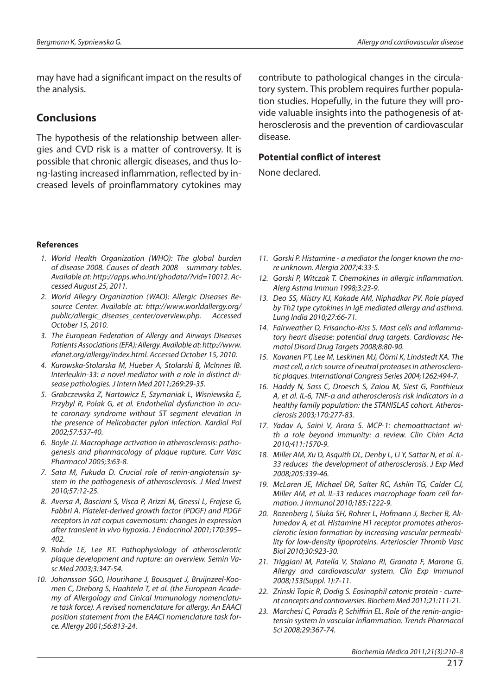may have had a significant impact on the results of the analysis.

#### **Conclusions**

The hypothesis of the relationship between allergies and CVD risk is a matter of controversy. It is possible that chronic allergic diseases, and thus long-lasting increased inflammation, reflected by increased levels of proinflammatory cytokines may contribute to pathological changes in the circulatory system. This problem requires further population studies. Hopefully, in the future they will provide valuable insights into the pathogenesis of atherosclerosis and the prevention of cardiovascular disease.

#### **Potential conflict of interest**

None declared.

#### **Re fe ren ces**

- 1. World Health Organization (WHO): The global burden of disease 2008. Causes of death 2008 - summary tables. Available at: http://apps.who.int/ghodata/?vid=10012. Accessed August 25, 2011.
- 2. World Allegry Organization (WAO): Allergic Diseases Resource Center. Available at: http://www.worldallergy.org/ public/allergic\_diseases\_center/overview.php. Accessed October 15, 2010.
- 3. The European Federation of Allergy and Airways Diseases Patients Associations (EFA): Allergy. Available at: http://www. efanet.org/allergy/index.html. Accessed October 15, 2010.
- 4. Kurowska-Stolarska M, Hueber A, Stolarski B, McInnes IB. Interleukin-33: a novel mediator with a role in distinct disease pathologies. J Intern Med 2011;269:29-35.
- 5. Grabczewska Z, Nartowicz E, Szymaniak L, Wisniewska E, Przybyl R, Polak G, et al. Endothelial dysfunction in acute coronary syndrome without ST segment elevation in the presence of Helicobacter pylori infection. Kardiol Pol 2002;57:537-40.
- 6. Boyle JJ. Macrophage activation in atherosclerosis: pathogenesis and pharmacology of plaque rupture. Curr Vasc Pharmacol 2005;3:63-8.
- 7. Sata M, Fukuda D. Crucial role of renin-angiotensin system in the pathogenesis of atherosclerosis. J Med Invest 2010;57:12-25.
- 8. Aversa A, Basciani S, Visca P, Arizzi M, Gnessi L, Frajese G, Fabbri A. Platelet-derived growth factor (PDGF) and PDGF receptors in rat corpus cavernosum: changes in expression after transient in vivo hypoxia. J Endocrinol 2001;170:395-402.
- 9. Rohde LE, Lee RT. Pathophysiology of atherosclerotic plaque development and rupture: an overview. Semin Vasc Med 2003;3:347-54.
- 10. Johansson SGO, Hourihane J, Bousquet J, Bruijnzeel-Koomen C, Dreborg S, Haahtela T, et al. (the European Academy of Allergology and Cinical Immunology nomenclature task force). A revised nomenclature for allergy. An EAACI position statement from the EAACI nomenclature task force. Allergy 2001;56:813-24.
- 11. Gorski P. Histamine a mediator the longer known the more unknown. Alergia 2007;4:33-5.
- 12. Gorski P, Witczak T. Chemokines in allergic inflammation. Alerg Astma Immun 1998;3:23-9.
- 13. Deo SS, Mistry KJ, Kakade AM, Niphadkar PV. Role played by Th2 type cytokines in IgE mediated allergy and asthma. Lung India 2010;27:66-71.
- 14. Fairweather D, Frisancho-Kiss S. Mast cells and inflammatory heart disease: potential drug targets. Cardiovasc Hematol Disord Drug Targets 2008;8:80-90.
- 15. Kovanen PT, Lee M, Leskinen MJ, Öörni K, Lindstedt KA. The mast cell, a rich source of neutral proteases in atherosclerotic plaques. International Congress Series 2004;1262:494-7.
- 16. Haddy N, Sass C, Droesch S, Zaiou M, Siest G, Ponthieux A, et al. IL-6, TNF-α and atherosclerosis risk indicators in a healthy family population: the STANISLAS cohort. Atheroscle ro sis 2003;170:277-83.
- 17. Yadav A, Saini V, Arora S. MCP-1: chemoattractant with a role beyond immunity: a review. Clin Chim Acta 2010;411:1570-9.
- 18. Miller AM, Xu D, Asquith DL, Denby L, Li Y, Sattar N, et al. IL-33 reduces the development of atherosclerosis. J Exp Med 2008;205:339-46.
- 19. McLaren JE, Michael DR, Salter RC, Ashlin TG, Calder CJ, Miller AM, et al. IL-33 reduces macrophage foam cell formation. J Immunol 2010;185:1222-9.
- 20. Rozenberg I, Sluka SH, Rohrer L, Hofmann J, Becher B, Akhmedov A, et al. Histamine H1 receptor promotes atherosclerotic lesion formation by increasing vascular permeability for low-density lipoproteins. Arterioscler Thromb Vasc Biol 2010;30:923-30.
- 21. Triggiani M, Patella V, Staiano RI, Granata F, Marone G. Allergy and cardiovascular system. Clin Exp Immunol 2008;153(Suppl. 1):7-11.
- 22. Zrinski Topic R, Dodig S. Eosinophil catonic protein current concepts and controversies. Biochem Med 2011;21:111-21.
- 23. Marchesi C, Paradis P, Schiffrin EL. Role of the renin-angiotensin system in vascular inflammation. Trends Pharmacol Sci 2008;29:367-74.